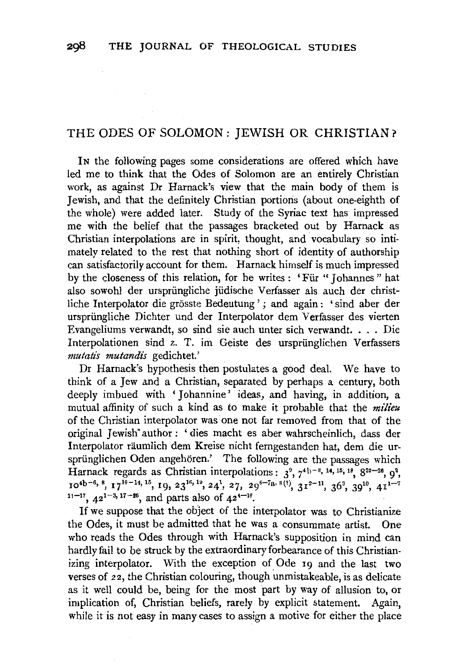# THE ODES OF SOLOMON : JEWISH OR CHRISTIAN?

IN the following pages some considerations are offered which have led me to think that the Odes of Solomon are an entirely Christian work, as against Dr Harnack's view that the main body of them is Jewish, and that the definitely Christian portions (about one-eighth of the whole) were added later. Study of the Syriac text has impressed me with the belief that the passages bracketed out by Harnack as Christian interpolations are in spirit, thought, and vocabulary so intimately related to the rest that nothing short of identity of authorship can satisfactorily account for them. Harnack himself is much impressed by the closeness of this relation, for he writes : ' Fiir " Johannes " hat also sowohl der urspriingliche jiidische Verfasser als auch der christliche Interpolator die grosste Bedeutung ' ; and again : ' sind aber der ursprüngliche Dichter und der Interpolator dem Verfasser des vierten Evangeliums verwandt, so sind sie auch unter sich verwandt .... Die Interpolationen sind z. T. im Geiste des urspriinglichen Verfassers *mutatis mutandis* gedichtet.'

Dr Harnack's hypothesis then postulates a good deal. We have to think of a Jew and a Christian, separated by perhaps a century, both deeply imbued with 'Johannine' ideas, and having, in addition, a mutual affinity of such a kind as to make it probable that the *milieu*  of the Christian interpolator was one not far removed from that of the original Jewish" author : ' dies macht es aber wahrscheinlich, dass der Interpolator räumlich dem Kreise nicht ferngestanden hat, dem die ursprünglichen Oden angehören.' The following are the passages which Harnack regards as Christian interpolations:  $3^9$ ,  $7^{4}$ b<sup>-8</sup>, <sup>14</sup>, <sup>15</sup>, <sup>18</sup>,  $8^{23}$ <sup>-26</sup>,  $9^2$ ,  $10^{4b-6}$ ,  $^{8}$ ,  $17^{10-14}$ ,  $^{15}$ ,  $19$ ,  $23^{16}$ ,  $^{19}$ ,  $24^1$ ,  $27$ ,  $29^{6-7a}$ ,  $8^{t}$ ,  $31^{3-11}$ ,  $36^3$ ,  $39^{10}$ ,  $41^{1-7}$  $11 - 17$ ,  $42^{1-3}$ ,  $17 - 25$ , and parts also of  $42^{4-16}$ .

If we suppose that the object of the interpolator was to Christianize the Odes, it must be admitted that he was a consummate artist. One who reads the Odes through with Harnack's supposition in mind can hardly fail to be struck by the extraordinary forbearance of this Christianizing interpolator. With the exception of Ode 19 and the last two verses of 22, the Christian colouring, though unmistakeable, is as delicate as it well could be, being for the most part by way of allusion to, or implication of, Christian beliefs, rarely by explicit statement. Again, while it is not easy in many cases to assign a motive for either the place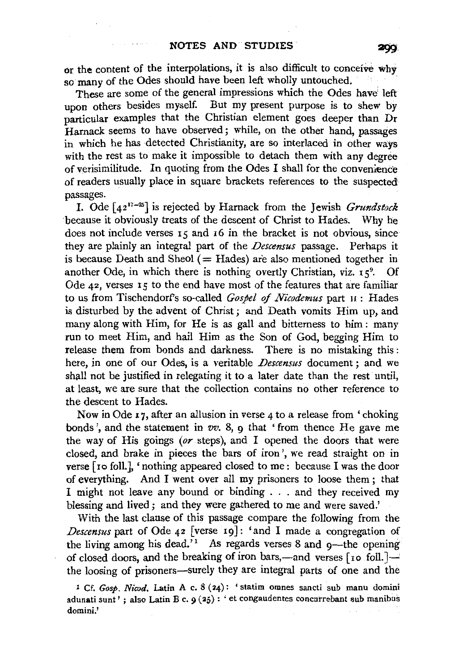or the content of the interpolations, it is also difficult to conceive why so many of the Odes should have been left wholly untouched.

These are some of the general impressions which the Odes have left upon others besides myself. But my present purpose is to shew by particular examples that the Christian element goes deeper than Dr Harnack seems to have observed; while, on the other hand, passages in which he has detected Christianity, are so interlaced in other ways with the rest as to make it impossible to detach them with any degree of verisimilitude. In quoting from the Odes I shall for the convenience of readers usually place in square brackets references to the suspected passages.

I. Ode  $[42^{17-25}]$  is rejected by Harnack from the Jewish *Grundstock* because it obviously treats of the descent of Christ to Hades. Why he does not include verses 15 and 16 in the bracket is not obvious, since they are plainly an integral part of the *Descensus* passage. Perhaps it is because Death and Sheol  $($  = Hades) are also mentioned together in another Ode, in which there is nothing overtly Christian, viz. 15<sup>9</sup>. Of Ode 42, verses 15 to the end have most of the features that are familiar to us from Tischendorfs so-called *Gospel of Nicodemus* part n : Hades is disturbed by the advent of Christ ; and Death vomits Him up, and many along with Him, for He is as gall and bitterness to him : many run to meet Him, and hail Him as the Son of God, begging Him to release them from bonds and darkness. There is no mistaking this : here, in one of our Odes, is a veritable *Descensus* document ; and we shall not be justified in relegating it to a later date than the rest until, at least, we are sure that the collection contains no other reference to the descent to Hades.

Now in Ode 17, after an allusion in verse 4 to a release from 'choking bonds', and the statement in *vv.* 8, 9 that 'from thence He gave me the way of His goings *(or* steps), and I opened the doors that were closed, and brake in pieces the bars of iron', we read straight on in verse [ ro foll.J, 'nothing appeared closed to me: because I was the door of everything. And I went over all my prisoners to loose them ; that I might not leave any bound or binding . . . and they received my blessing and lived; and they were gathered to me and were saved.'

With the last clause of this passage compare the following from the *Descensus* part of Ode 42 [verse 19]: 'and I made a congregation of the living among his dead.<sup>71</sup> As regards verses 8 and  $q$ —the opening of closed doors, and the breaking of iron bars,—and verses  $[$ 10 foll. $]\rightarrow$ the loosing of prisoners-surely they are integral parts of one and the

1 Cf. *Gosp. Nicod.* Latin A c. 8 (24): 'statim omnes sancti sub manu domini adunati sunt' ; also Latin B c. 9 (25): 'et congaudentes concurrebant sub manibus domini.'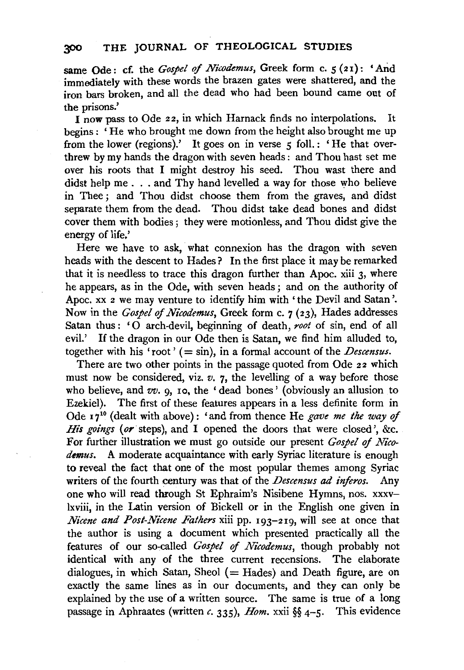same Ode: cf. the *Gospel* of *Nicodemus,* Greek form c. *5* (21): 'And immediately with these words the brazen gates were shattered, and the iron bars broken, and all the dead who had been bound came out of the prisons.'

I now pass to Ode 22, in which Harnack finds no interpolations. It begins : ' He who brought me down from the height also brought me up from the lower (regions).' It goes on in verse *5* foll.: 'He that overthrew by my hands the dragon with seven heads : and Thou hast set me over his roots that I might destroy his seed. Thou wast there and didst help me . . . and Thy hand levelled a way for those who believe in Thee; and Thou didst choose them from the graves, and didst separate them from the dead. Thou didst take dead bones and didst cover them with bodies ; they were motionless, and Thou didst give the energy of life.'

Here we have to ask, what connexion has the dragon with seven heads with the descent to Hades? In the first place it may be remarked that it is needless to trace this dragon further than Apoc. xiii 3, where he appears, as in the Ode, with seven heads ; and on the authority of Apoc. xx 2 we may venture to identify him with ' the Devil and Satan '. Now in the *Gospel of Nicodemus,* Greek form c. 7 (23), Hades addresses Satan thus : '0 arch-devil, beginning of death, *root* of sin, end of all evil.' If the dragon in our Ode then is Satan, we find him alluded to, together with his 'root' ( $=$  sin), in a formal account of the *Descensus*.

There are two other points in the passage quoted from Ode 22 which must now be considered, viz. *v.* 7, the levelling of a way before those who believe, and *vv.* 9, 10, the 'dead bones' (obviously an allusion to Ezekiel). The first of these features appears in a less definite form in Ode 1710 (dealt with above) : 'and from thence He *gave me the way of His goings (or* steps), and I opened the doors that were closed', &c. For further illustration we must go outside our present *Gospel of Nico*demus. A moderate acquaintance with early Syriac literature is enough to reveal the fact that one of the most popular themes among Syriac writers of the fourth century was that of the *Descensus ad inferos.* Any one who will read through St Ephraim's Nisibene Hymns, nos. xxxvlxviii, in the Latin version of Bickell or in the English one given in *Nicene and Post-Nicene Fathers* xiii pp. 193-219, will see at once that the author is using a document which presented practically all the features of our so-called *Gospel of Nicodemus*, though probably not identical with any of the three current recensions. The elaborate dialogues, in which Satan, Sheol ( $=$  Hades) and Death figure, are on exactly the same lines as in our documents, and they can only be explained by the use of a written source. The same is true of a long passage in Aphraates (written *c.* 335), *Hom.* xxii §§ 4-5. This evidence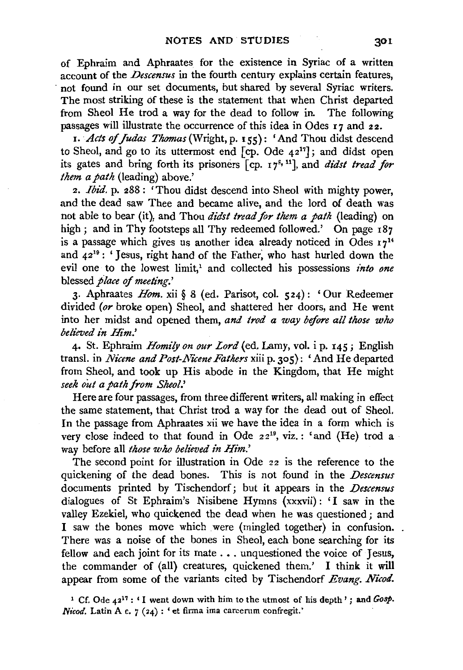of Ephraim and Aphraates for the existence in Syriac of a written account of the *Descensus* in the fourth century explains certain features, not found in our set documents, but shared by several Syriac writers. The most striking of these is the statement that when Christ departed from Sheol He trod a way for the dead to follow in. The following passages will illustrate the occurrence of this idea in Odes 17 and 22.

I. *Acts of Judas Thomas* (Wright, p. 155): 'And Thou didst descend to Sheol, and go to its uttermost end  $[cp.$  Ode  $42<sup>17</sup>]$ ; and didst open its gates and bring forth its prisoners [cp. 17<sup>8, 11</sup>], and *didst tread for them a path* (leading) above.'

2. *Ibid.* p. 288 : 'Thou didst descend into Sheol with mighty power, and the dead saw Thee and became alive, and the lord of death was not able to bear (it), and Thou *di'dst tread for them a path* (leading) on high; and in Thy footsteps all Thy redeemed followed.' On page 187 is a passage which gives us another idea already noticed in Odes  $17^{14}$ and  $42^{19}$ : 'Jesus, right hand of the Father, who hast hurled down the evil one to the lowest limit,<sup>1</sup> and collected his possessions *into one* blessed *flace of meeting.'* 

3· Aphraates *Hom.* xii § 8 (ed. Parisot, col. 524): 'Our Redeemer divided *(or* broke open) Sheol, and shattered her doors, and He went into her midst and opened them, *and trod a way before all those who believed in Him.'* 

4· St. Ephraim *Homily on our Lord* (ed. Lamy, vol. i p. I45; English transl. in *Nicene and Post-Nicene Fathers* xiii p. 305): 'And He departed from Sheol, and took up His abode in the Kingdom, that He might *seek out a path from Sheol.'* 

Here are four passages, from three different writers, all making in effect the same statement, that Christ trod a way for the dead out of Sheol. In the passage from Aphraates xii we have the idea in a form which is very close indeed to that found in Ode 22<sup>19</sup>, viz.: 'and (He) trod a way before all *those who believed in Him.'* 

The second point for illustration in Ode 22 is the reference to the quickening of the dead bones. This is not found in the *Descensus*  documents printed by Tischendorf; but it appears in the *Descensus*  dialogues of St Ephraim's Nisibene Hymns (xxxvii) : 'I saw in the valley Ezekiel, who quickened the dead when he was questioned ; and I saw the bones move which were (mingled together) in confusion. There was a noise of the bones in Sheol, each bone searching for its fellow and each joint for its mate . . . unquestioned the voice of Jesus, the commander of (all) creatures, quickened them.' I think it will appear from some of the variants cited by Tischendorf *Evang. Nicod.* 

1 Cf. Ode 4217 : ' I went down with him to the utmost of his depth' ; and *Gosp. Nicod.* Latin A c. 7 (24) : 'et firma ima carcerum confregit.'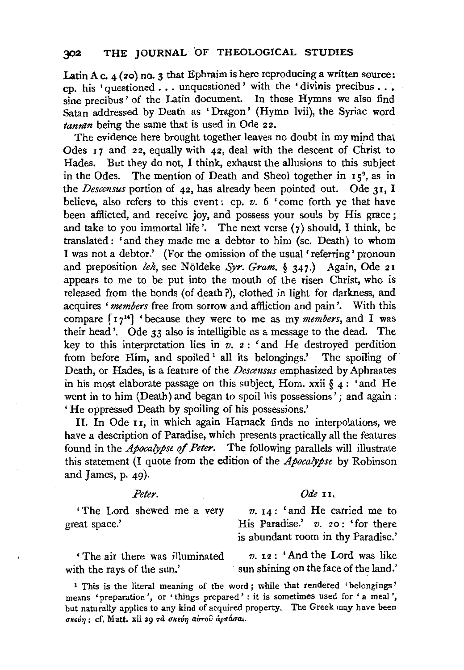Latin A c.  $4$  (20) no. 3 that Ephraim is here reproducing a written source: cp. his 'questioned ... unquestioned' with the • divinis precibus ..• sine precibus' of the Latin document. In these Hymns we also find Satan addressed by Death as 'Dragon' (Hymn lvii), the Syriac word *tannin* being the same that is used in Ode 22.

The evidence here brought together leaves no doubt in my mind that Odes I7 and 22, equally with 42, deal with the descent of Christ to Hades. But they do not, I think, exhaust the allusions to this subject in the Odes. The mention of Death and Sheol together in  $15^{\circ}$ , as in the *Descensus* portion of 42, has already been pointed out. Ode 3I, I believe, also refers to this event: cp. *v.* 6 'come forth ye that have been afflicted, and receive joy, and possess your souls by His grace ; and take to you immortal life'. The next verse  $(7)$  should, I think, be translated: 'and they made me a debtor to him (sc. Death) to whom I was not a debtor.' (For the omission of the usual' referring' pronoun and preposition *leh,* see Noldeke *Syr. Gram.* § 347.) Again, Ode 2I appears to me to be put into the mouth of the risen Christ, who is released from the bonds (of death ?), clothed in light for darkness, and acquires *'members* free from sorrow and affliction and pain'. With this compare [I 714] 'because they were to me as my *members,* and I was their head'. Ode 33 also is intelligible as a message to the dead. The key to this interpretation lies in *v.* 2 : ' and He destroyed perdition from before Him, and spoiled<sup>1</sup> all its belongings.' The spoiling of Death, or Hades, is a feature of the *Descensus* emphasized by Aphraates in his most elaborate passage on this subject, Hom. xxii  $\S$ 4: 'and He went in to him (Death) and began to spoil his possessions'; and again : ' He oppressed Death by spoiling of his possessions.'

II. In Ode II, in which again Harnack finds no interpolations, we have a description of Paradise, which presents practically all the features found in the *Apocalypse qf Peter.* The following parallels will illustrate this statement (I quote from the edition of the *Apocalypse* by Robinson and James, p. 49).

great space.' His Paradise.' *v.* 20: 'for there

## Peter. Ode 11.

'The Lord shewed me a very *v.* I4: 'and He carried me to is abundant room in thy Paradise.'

' The air there was illuminated *v.* 12 : 'And the Lord was like with the rays of the sun.' sun shining on the face of the land.'

1 This is the literal meaning of the word; while that rendered 'belongings' means 'preparation', or 'things prepared': it is sometimes used for 'a meal', but naturally applies to any kind of acquired property. The Greek may have been σκεύη: cf. Matt. xii 29 τα σκεύη αύτου άρπάσαι.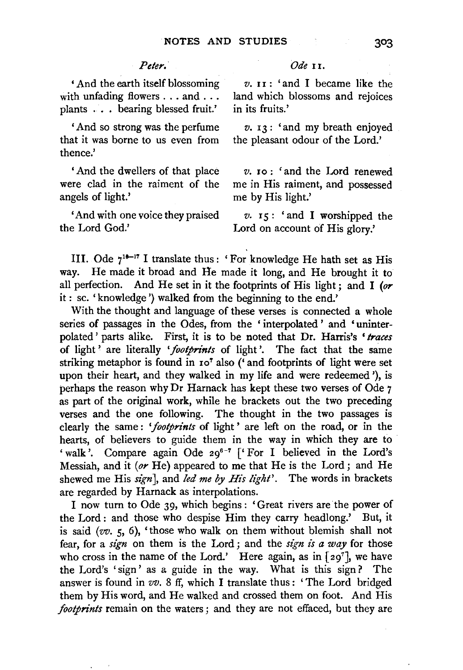' And the earth itself blossoming with unfading flowers . . . and . . . plants ... bearing blessed fruit.'

' And so strong was the perfume that it was borne to us even from thence.'

' And the dwellers of that place were clad in the raiment of the angels of light.'

'And with one voice they praised the Lord God.'

### *Peter. Ode* II.

*v.* II: 'and I became like the land which blossoms and rejoices in its fruits.'

*v.* 13 : 'and my breath enjoyed the pleasant odour of the Lord.'

*v.* Io: 'and the Lord renewed me in His raiment, and possessed me by His light.'

*v.* 15: 'and I worshipped the Lord on account of His glory.'

III. Ode  $7^{16-17}$  I translate thus : 'For knowledge He hath set as His way. He made it broad and Ite made it long, and He brought it to all perfection. And He set in it the footprints of His light; and I *(or*  it : sc. 'knowledge ') walked from the beginning to the end.'

With the thought and language of these verses is connected a whole series of passages in the Odes, from the ' interpolated ' and 'uninterpolated ' parts alike. First, it is to be noted that Dr. Harris's *'traces*  of light ' are literally *'footprints* of light'. The fact that the same striking metaphor is found in 107 also ('and footprints of light were set upon their heart, and they walked in my life and were redeemed '), is perhaps the reason why Dr Harnack has kept these two verses of Ode 7 as part of the original work, while he brackets out the two preceding verses and the one following. The thought in the two passages is clearly the same : *'footprints* of light ' are left on the road, or in the hearts, of believers to guide them in the way in which they are to ' walk'. Compare again Ode 29<sup>6-7</sup> ['For I believed in the Lord's Messiah, and it *(or* He) appeared to me that He is the Lord; and He shewed me His *sign],* and *led me by His light'.* The words in brackets are regarded by Harnack as interpolations.

I now turn to Ode 39, which begins : 'Great rivers are the power of the Lord : and those who despise Him they carry headlong.' But, it is said ( $vv$ . 5, 6), 'those who walk on them without blemish shall not fear, for a *sign* on them is the Lord ; and the *sign is a way* for those who cross in the name of the Lord.' Here again, as in  $[29^7]$ , we have the Lord's 'sign' as a guide in the way. What is this sign? The answer is found in *vv.* 8 ff, which I translate thus : ' The Lord bridged them by His word, and He walked and crossed them on foot. And His *footprints* remain on the waters ; and they are not effaced, but they are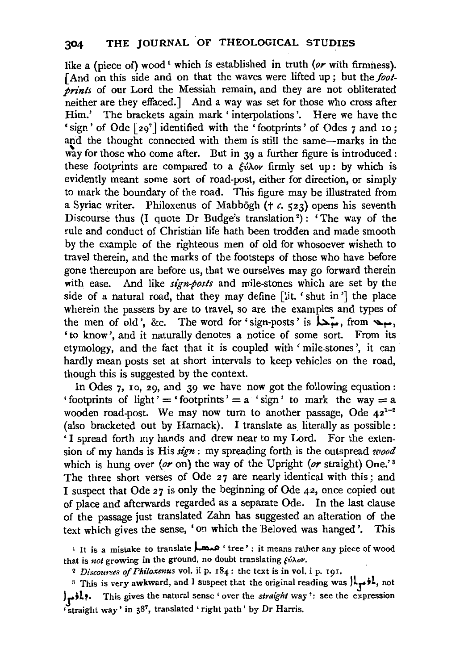like a (piece of) wood<sup>1</sup> which is established in truth (or with firmness). [And on this side and on that the waves were lifted up; but the *footprints* of our Lord the Messiah remain, and they are not obliterated neither are they effaced.] And a way was set for those who cross after Him.' The brackets again mark 'interpolations'. Here we have the 'sign' of Ode [ 297 ] identified with the 'footprints' of Odes 7 and 10; and the thought connected with them is still the same-marks in the way for those who come after. But in  $39$  a further figure is introduced : these footprints are compared to a  $\xi \hat{\nu} \lambda$  firmly set up: by which is evidently meant some sort of road-post, either for direction, or simply to mark the boundary of the road. This figure may be illustrated from a Syriac writer. Philoxenus of Mabbogh († c. 523) opens his seventh Discourse thus (I quote Dr Budge's translation<sup>2</sup>): 'The way of the rule and conduct of Christian life hath been trodden and made smooth by the example of the righteous men of old for whosoever wisheth to travel therein, and the marks of the footsteps of those who have before gone thereupon are before us, that we ourselves may go forward therein with ease. And like *sign-posts* and mile-stones which are set by the side of a natural road, that they may define [lit. 'shut in'] the place wherein the passers by are to travel, so are the examples and types of the men of old', &c. The word for 'sign-posts' is  $\overline{\phantom{a}}$ , from  $\overline{\phantom{a}}$ , 'to know', and it naturally denotes a notice of some sort. From its etymology, and the fact that it is coupled with ' mile-stones ', it can hardly mean posts set at short intervals to keep vehicles on the road, though this is suggested by the context.

In Odes 7, 10, 29, and 39 we have now got the following equation: ' footprints of light' = ' footprints' =  $a$  ' sign' to mark the way =  $a$ wooden road-post. We may now turn to another passage, Ode  $42^{1-2}$ (also bracketed out by Harnack). I translate as literally as possible: 'I spread forth my hands and drew near to my Lord. For the extension of my hands is His *sign* : my spreading forth is the outspread *wood*  which is hung over (or on) the way of the Upright (or straight) One.'<sup>3</sup> The three short verses of Ode 27 are nearly identical with this; and I suspect that Ode 27 is only the beginning of Ode 42, once copied out of place and afterwards regarded as a separate Ode. In the last clause of the passage just translated Zahn has suggested an alteration of the text which gives the sense, 'on which the Beloved was hanged'. This

<sup>1</sup>It is a mistake to translate ~ ' tree ' : it means rather any piece of wood that is not growing in the ground, no doubt translating  $\zeta\acute{\nu}\lambda$ ov.

<sup>2</sup>*Discourses of Philoxenus* vol. ii p. 184: the text is in vol. i p. 191.

<sup>3</sup> This is very awkward, and I suspect that the original reading was  $\lambda_r$ , not Jj;Lp. This gives the natural sense' over the *straight* way': see the expression 'straight way' in 387, translated ' right path' by Dr Harris.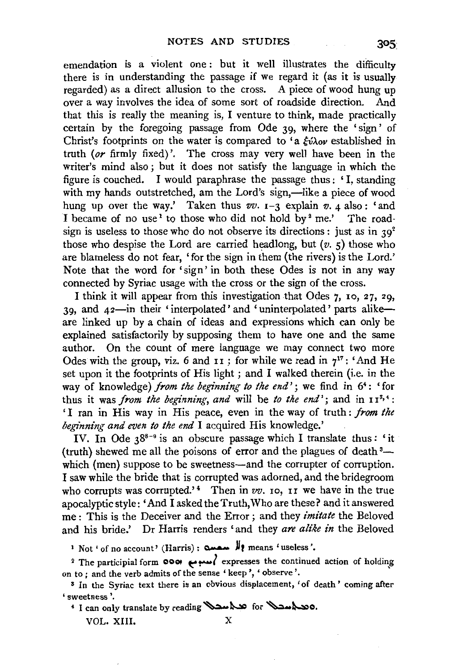emendation is a violent one : but it well illustrates the difficulty there is in understanding the passage if we regard it (as it is usually regarded) as a direct allusion to the cross. A piece of wood hung up over a way involves the idea of some sort of roadside direction. And that this is really the meaning is, I venture to think, made practically certain by the foregoing passage from Ode 39, where the 'sign' of Christ's footprints on the water is compared to 'a  $\xi v \lambda o \nu$  established in truth *(or* firmly fixed)'. The cross may very well have been in the writer's mind also ; but it does not satisfy the language in which the figure is couched. I would paraphrase the passage thus : ' I, standing with my hands outstretched, am the Lord's sign,—like a piece of wood hung up over the way.' Taken thus  $vv$ .  $1-3$  explain  $v$ .  $4$  also: 'and I became of no use<sup>1</sup> to those who did not hold by<sup>2</sup> me.' The roadsign is useless to those who do not observe its directions : just as in  $39^2$ those who despise the Lord are carried headlong, but  $(v, 5)$  those who are blameless do not fear, 'for the sign in them (the rivers) is the Lord.' Note that the word for 'sign' in both these Odes is not in any way connected by Syriac usage with the cross or the sign of the cross.

I think it will appear from this investigation that Odes 7, Io, 27, 29, 39, and 42-in their 'interpolated' and 'uninterpolated' parts alikeare linked up by a chain of ideas and expressions which can only be explained satisfactorily by supposing them to have one and the same author. On the count of mere language we may connect two more Odes with the group, viz. 6 and  $11$ ; for while we read in  $7^{17}$ : 'And He set upon it the footprints of His light ; and I walked therein (i.e. in the way of knowledge) *from the beginning to the end'*; we find in 6<sup>4</sup>: 'for thus it was *from the beginning, and* will be *to the end*'; and in  $11^{3,4}$ : ' I ran in His way in His peace, even in the way of truth : *from the beginning and even to the end* I acquired His knowledge.'

IV. In Ode  $3^{8-9}$  is an obscure passage which I translate thus: 'it (truth) shewed me all the poisons of error and the plagues of death 3 which (men) suppose to be sweetness—and the corrupter of corruption. I saw while the bride that is corrupted was adorned, and the bridegroom who corrupts was corrupted.'<sup>4</sup> Then in *vv*. 10, 11 we have in the true apocalyptic style: 'And I asked the Truth, Who are these? and it answered me : This is the Deceiver and the Error ; and they *imitate* the Beloved and his bride.' Dr Harris renders 'and they *are alike in* the Beloved

t Not ' of no account' (Harris) : مصمة , means 'useless'.

<sup>2</sup> The participial form **0001**  $\omega$  $\leftrightarrow$  expresses the continued action of holding on to ; and the verb admits of the sense ' keep ', ' observe '.

s In the Syriac text there is an obvious displacement, 'of death ' coming after 'sweetness'.

 $4$  I can only translate by reading ~~ for ~~~~ for ~~

VOL. XIII. X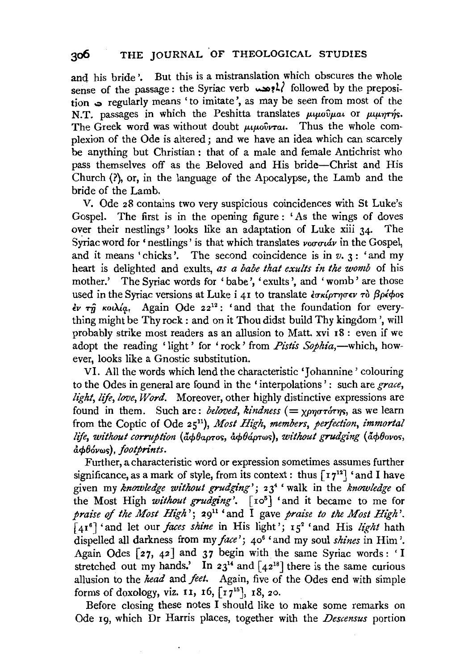and his bride'. But this is a mistranslation which obscures the whole sense of the passage: the Syriac verb  $\lambda$ ! followed by the preposition . regularly means 'to imitate', as may be seen from most of the N.T. passages in which the Peshitta translates  $\mu\mu\omega\hat{\nu}\mu\omega\omega$  or  $\mu\mu\eta\tau\eta\varsigma$ . The Greek word was without doubt  $\mu\mu\omega\hat{v}$ rat. Thus the whole complexion of the Ode is altered; and we have an idea which can scarcely be anything but Christian : that of a male and female Antichrist who pass themselves off as the Beloved and His bride-Christ and His Church (?), or, in the language of the Apocalypse, the Lamb and the bride of the Lamb.

V. Ode 28 contains two very suspicious coincidences with St Luke's Gospel. The first is in the opening figure : ' As the wings of doves over their nestlings' looks like an adaptation of Luke xiii 34. The Syriac word for 'nestlings' is that which translates  $ν$ οσσιάν in the Gospel, and it means 'chicks'. The second coincidence is in  $v \cdot 3$  : 'and my heart is delighted and exults, *as a babe that exults in the womb* of his mother.' The Syriac words for 'babe', 'exults', and 'womb' are those used in the Syriac versions at Luke i 41 to translate *εσκίρτησεν το βρέφος* εν τη κοιλία. Again Ode 22<sup>12</sup>: 'and that the foundation for everything might be Thy rock : and on it Thou didst build Thy kingdom ', will probably strike most readers as an allusion to Matt. xvi r8: even if we adopt the reading 'light' for 'rock' from *Pistis Sophia*,-which, however, looks like a Gnostic substitution.

VI. All the words which lend the characteristic 'Johannine' colouring to the Odes in general are found in the 'interpolations': such are *grace*, *light, life, love, Word.* Moreover, other highly distinctive expressions are found in them. Such are: *beloved, kindness*  $( = \chi_{\rho\eta\sigma\tau\sigma\tau\eta\sigma}$ , as we learn from the Coptic of Ode 25<sup>11</sup>), *Most High, members, perfection, immortal* life, without corruption (apbapros, apbapros), without grudging (apbovos,  $\hat{a}$  $\phi$ *b*<sup>o</sup>vws), footprints.

Further, a characteristic word or expression sometimes assumes further significance, as a mark of style, from its context: thus  $\lceil r^{12} \rceil$  'and I have given my *knowledge without grudging';* 234 'walk in the *knowledge* of the Most High *without grudging'*. [10<sup>5</sup>] 'and it became to me for *praise of the Most High'*;  $29^{11}$  'and I gave *praise to the Most High'*. [4r 6] 'and let our *faces shine* in His light'; 152 'and His *light* hath dispelled all darkness from my *face';* 406 'and my soul *shines* in Him'. Again Odes  $\lceil 27, 42 \rceil$  and 37 begin with the same Syriac words: 'I stretched out my hands.' In  $23^{14}$  and  $\lceil 42^{18} \rceil$  there is the same curious allusion to the *head* and *feet.* Again, five of the Odes end with simple forms of doxology, viz. 11, 16,  $\lceil r 7^{15} \rceil$ , 18, 20.

Before closing these notes I should like to make some remarks on Ode 19, which Dr Harris places, together with the *Descensus* portion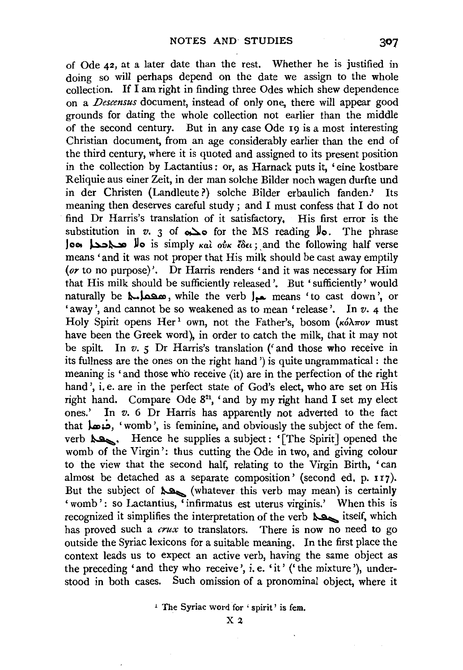of Ode 42, at a later date than the rest. Whether he is justified in doing so will perhaps depend on the date we assign to the whole collection. If I am right in finding three Odes which shew dependence on a *Descensus* document, instead of only one, there will appear good grounds for dating the whole collection not earlier than the middle of the second century. But in any case Ode 19 is a most interesting Christian document, from an age considerably earlier than the end of the third century, where it is quoted and assigned to its present position in the collection by Lactantius: or, as Harnack puts it, 'eine kostbare Reliquie aus einer Zeit, in der man solche Bilder noch wagen durfte und in der Christen (Landleute ?) solche Bilder erbaulich fanden.' Its meaning then deserves careful study ; and I must confess that I do not find Dr Harris's translation of it satisfactory, His first error is the substitution in *v.* 3 of  $\infty$  for the MS reading  $\mu$ . The phrase )c,~ot 4:>~ **»o** is simply Kat o?JK *£8Et;* ,and the following half verse means 'and it was not proper that His milk should be cast away emptily *(or* to no purpose)'. Dr Harris renders 'and it was necessary for Him that His milk should be sufficiently released'. But 'sufficiently' would naturally be صحيح , while the verb المعدل means 'to cast down', or 'away', and cannot be so weakened as to mean 'release'. In  $v$ . 4 the Holy Spirit opens Her<sup>1</sup> own, not the Father's, bosom ( $\kappa \delta \lambda \pi \sigma \nu$  must have been the Greek word), in order to catch the milk, that it may not be spilt. In *v. 5* Dr Harris's translation ('and those who receive in its fullness are the ones on the right hand') is quite ungrammatical : the meaning is 'and those who receive (it) are in the perfection of the right hand', i, e. are in the perfect state of God's elect, who are set on His right hand. Compare Ode  $8^{21}$ , 'and by my right hand I set my elect ones.' In *v.* 6 Dr Harris has apparently not adverted to the fact that **J.** ... 'womb', is feminine, and obviously the subject of the fem. verb  $\lambda$ , Hence he supplies a subject: '[The Spirit] opened the womb of the Virgin': thus cutting the Ode in two, and giving colour to the view that the second half, relating to the Virgin Birth, 'can almost be detached as a separate composition' (second ed, p. 117). But the subject of  $\triangle^{\mathbf{Q}}$  (whatever this verb may mean) is certainly 'womb': so Lactantius, 'infirmatus est uterus virginis.' When this is recognized it simplifies the interpretation of the verb  $\lambda$  itself, which has proved such a *crux* to translators. There is now no need to go outside the Syriac lexicons for a suitable meaning. In the first place the context leads us to expect an active verb, having the same object as the preceding 'and they who receive', i.e. 'it' ('the mixture'), understood in both cases. Such omission of a pronominal object, where it

<sup>1</sup> The Syriac word for 'spirit' is fem.

 $X<sub>2</sub>$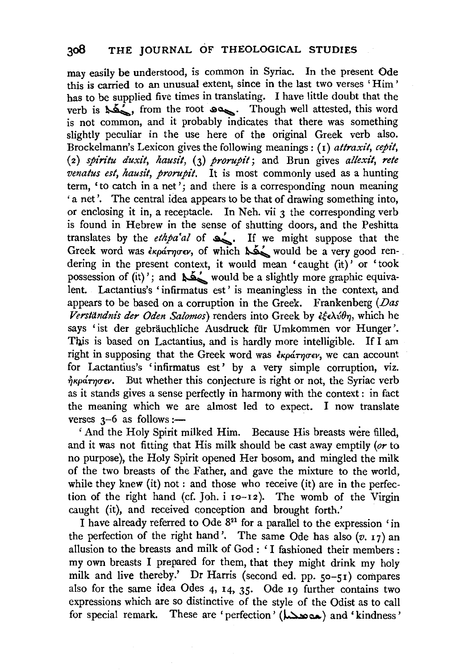may easily be understood, is common in Syriac. In the present Ode this is carried to an unusual extent, since in the last two verses ' Him ' has to be supplied five times in translating. I have little doubt that the verb is  $\sum_{n=1}^{\infty}$ , from the root  $\log_{\alpha}$ . Though well attested, this word is not common, and it probably indicates that there was something slightly peculiar in the use here of the original Greek verb also. Brockelmann's Lexicon gives the following meanings : ( 1) *attraxit, cepit,*  ( 2) *spin"tu duxit, hausit,* (3) *prorupit;* and Brun gives *allexit, rete venatus est, hausit, prorupit.* It is most commonly used as a hunting term, 'to catch in a net'; and there is a corresponding noun meaning 'a net'. The central idea appears to be that of drawing something into, or enclosing it in, a receptacle. In Neh. vii 3 the corresponding verb is found in Hebrew in the sense of shutting doors, and the Peshitta translates by the *ethpa'al* of  $\sum$ . If we might suppose that the Greek word was  $\epsilon_{\kappa\rho\alpha\tau\eta\sigma\epsilon\nu}$ , of which  $\Delta\Delta'$  would be a very good rendering in the present context, it would mean 'caught (it)' or 'took possession of  $(\hat{it})'$ ; and  $\sum'$  would be a slightly more graphic equivalent. Lactantius's 'infirmatus est' is meaningless in the context, and appears to be based on a corruption in the Greek. Frankenberg *(Das*  Verständnis der Oden Salomos) renders into Greek by εξελύθη, which he says 'ist der gebräuchliche Ausdruck für Umkommen vor Hunger'. This is based on Lactantius, and is hardly more intelligible. If I am right in supposing that the Greek word was  $\epsilon_{Kp\alpha\tau\eta\sigma\epsilon\nu}$ , we can account for Lactantius's 'infirmatus est' by a very simple corruption, viz.  $\eta_{K}\rho\Delta\tau\eta\sigma\epsilon\nu$ . But whether this conjecture is right or not, the Syriac verb as it stands gives a sense perfectly in harmony with the context : in fact the meaning which we are almost led to expect. I now translate verses  $3-6$  as follows :-

' And the Holy Spirit milked Him. Because His breasts were filled, and it was not fitting that His milk should be cast away emptily *(or* to no purpose), the Holy Spirit opened Her bosom, and mingled the milk of the two breasts of the Father, and gave the mixture to the world, while they knew (it) not: and those who receive (it) are in the perfection of the right hand (cf. Joh. i 10-12). The womb of the Virgin caught (it), and received conception and brought forth.'

I have already referred to Ode 821 for a parallel to the expression 'in the perfection of the right hand'. The same Ode has also  $(v, 17)$  an allusion to the breasts and milk of God : 'I fashioned their members : my own breasts I prepared for them, that they might drink my holy milk and live thereby.' Dr Harris (second ed. pp. so-51) compares also for the same idea Odes 4, 14, 35· Ode 19 further contains two expressions which are so distinctive of the style of the Odist as to call for special remark. These are 'perfection' (هده هدا) and 'kindness'